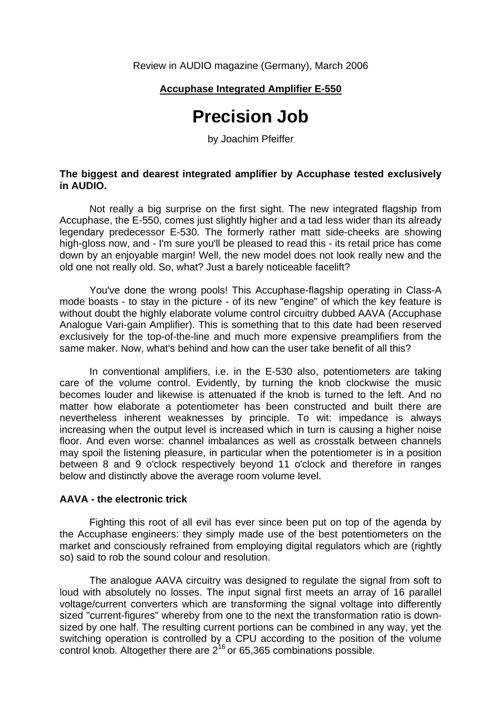## **Accuphase Integrated Amplifier E-550**

# **Precision Job**

by Joachim Pfeiffer

### **The biggest and dearest integrated amplifier by Accuphase tested exclusively in AUDIO.**

 Not really a big surprise on the first sight. The new integrated flagship from Accuphase, the E-550, comes just slightly higher and a tad less wider than its already legendary predecessor E-530. The formerly rather matt side-cheeks are showing high-gloss now, and - I'm sure you'll be pleased to read this - its retail price has come down by an enjoyable margin! Well, the new model does not look really new and the old one not really old. So, what? Just a barely noticeable facelift?

 You've done the wrong pools! This Accuphase-flagship operating in Class-A mode boasts - to stay in the picture - of its new "engine" of which the key feature is without doubt the highly elaborate volume control circuitry dubbed AAVA (Accuphase Analogue Vari-gain Amplifier). This is something that to this date had been reserved exclusively for the top-of-the-line and much more expensive preamplifiers from the same maker. Now, what's behind and how can the user take benefit of all this?

 In conventional amplifiers, i.e. in the E-530 also, potentiometers are taking care of the volume control. Evidently, by turning the knob clockwise the music becomes louder and likewise is attenuated if the knob is turned to the left. And no matter how elaborate a potentiometer has been constructed and built there are nevertheless inherent weaknesses by principle. To wit: impedance is always increasing when the output level is increased which in turn is causing a higher noise floor. And even worse: channel imbalances as well as crosstalk between channels may spoil the listening pleasure, in particular when the potentiometer is in a position between 8 and 9 o'clock respectively beyond 11 o'clock and therefore in ranges below and distinctly above the average room volume level.

#### **AAVA - the electronic trick**

 Fighting this root of all evil has ever since been put on top of the agenda by the Accuphase engineers: they simply made use of the best potentiometers on the market and consciously refrained from employing digital regulators which are (rightly so) said to rob the sound colour and resolution.

 The analogue AAVA circuitry was designed to regulate the signal from soft to loud with absolutely no losses. The input signal first meets an array of 16 parallel voltage/current converters which are transforming the signal voltage into differently sized "current-figures" whereby from one to the next the transformation ratio is downsized by one half. The resulting current portions can be combined in any way, yet the switching operation is controlled by a CPU according to the position of the volume control knob. Altogether there are  $2^{16}$  or 65,365 combinations possible.